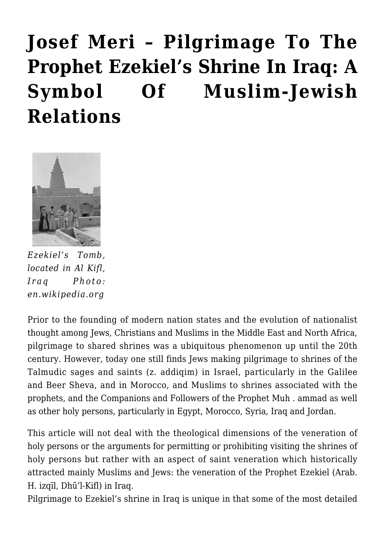## **[Josef Meri – Pilgrimage To The](https://rozenbergquarterly.com/josef-meri-pilgrimage-to-the-prophet-ezekiels-shrine-in-iraq-a-symbol-of-muslim-jewish-relations/) [Prophet Ezekiel's Shrine In Iraq: A](https://rozenbergquarterly.com/josef-meri-pilgrimage-to-the-prophet-ezekiels-shrine-in-iraq-a-symbol-of-muslim-jewish-relations/) [Symbol Of Muslim-Jewish](https://rozenbergquarterly.com/josef-meri-pilgrimage-to-the-prophet-ezekiels-shrine-in-iraq-a-symbol-of-muslim-jewish-relations/) [Relations](https://rozenbergquarterly.com/josef-meri-pilgrimage-to-the-prophet-ezekiels-shrine-in-iraq-a-symbol-of-muslim-jewish-relations/)**



*Ezekiel's Tomb, located in Al Kifl, Iraq Photo: en.wikipedia.org*

Prior to the founding of modern nation states and the evolution of nationalist thought among Jews, Christians and Muslims in the Middle East and North Africa, pilgrimage to shared shrines was a ubiquitous phenomenon up until the 20th century. However, today one still finds Jews making pilgrimage to shrines of the Talmudic sages and saints (z. addiqim) in Israel, particularly in the Galilee and Beer Sheva, and in Morocco, and Muslims to shrines associated with the prophets, and the Companions and Followers of the Prophet Muh . ammad as well as other holy persons, particularly in Egypt, Morocco, Syria, Iraq and Jordan.

This article will not deal with the theological dimensions of the veneration of holy persons or the arguments for permitting or prohibiting visiting the shrines of holy persons but rather with an aspect of saint veneration which historically attracted mainly Muslims and Jews: the veneration of the Prophet Ezekiel (Arab. H. izqīl, Dhū'l-Kifl) in Iraq.

Pilgrimage to Ezekiel's shrine in Iraq is unique in that some of the most detailed